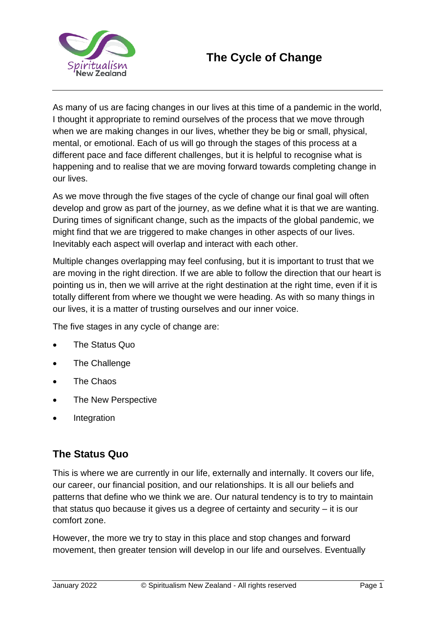

As many of us are facing changes in our lives at this time of a pandemic in the world, I thought it appropriate to remind ourselves of the process that we move through when we are making changes in our lives, whether they be big or small, physical, mental, or emotional. Each of us will go through the stages of this process at a different pace and face different challenges, but it is helpful to recognise what is happening and to realise that we are moving forward towards completing change in our lives.

As we move through the five stages of the cycle of change our final goal will often develop and grow as part of the journey, as we define what it is that we are wanting. During times of significant change, such as the impacts of the global pandemic, we might find that we are triggered to make changes in other aspects of our lives. Inevitably each aspect will overlap and interact with each other.

Multiple changes overlapping may feel confusing, but it is important to trust that we are moving in the right direction. If we are able to follow the direction that our heart is pointing us in, then we will arrive at the right destination at the right time, even if it is totally different from where we thought we were heading. As with so many things in our lives, it is a matter of trusting ourselves and our inner voice.

The five stages in any cycle of change are:

- The Status Quo
- The Challenge
- The Chaos
- The New Perspective
- **Integration**

### **The Status Quo**

This is where we are currently in our life, externally and internally. It covers our life, our career, our financial position, and our relationships. It is all our beliefs and patterns that define who we think we are. Our natural tendency is to try to maintain that status quo because it gives us a degree of certainty and security – it is our comfort zone.

However, the more we try to stay in this place and stop changes and forward movement, then greater tension will develop in our life and ourselves. Eventually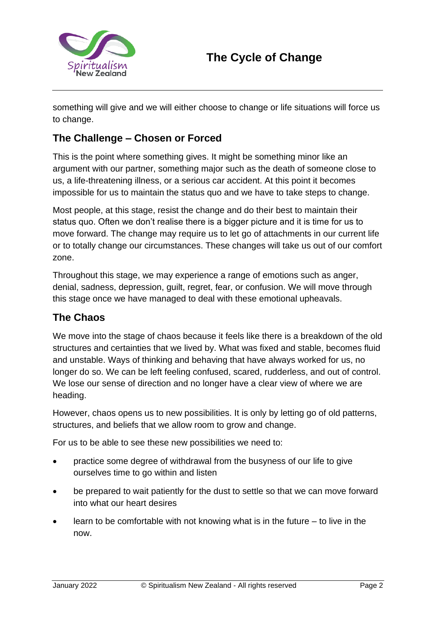

something will give and we will either choose to change or life situations will force us to change.

## **The Challenge – Chosen or Forced**

This is the point where something gives. It might be something minor like an argument with our partner, something major such as the death of someone close to us, a life-threatening illness, or a serious car accident. At this point it becomes impossible for us to maintain the status quo and we have to take steps to change.

Most people, at this stage, resist the change and do their best to maintain their status quo. Often we don't realise there is a bigger picture and it is time for us to move forward. The change may require us to let go of attachments in our current life or to totally change our circumstances. These changes will take us out of our comfort zone.

Throughout this stage, we may experience a range of emotions such as anger, denial, sadness, depression, guilt, regret, fear, or confusion. We will move through this stage once we have managed to deal with these emotional upheavals.

### **The Chaos**

We move into the stage of chaos because it feels like there is a breakdown of the old structures and certainties that we lived by. What was fixed and stable, becomes fluid and unstable. Ways of thinking and behaving that have always worked for us, no longer do so. We can be left feeling confused, scared, rudderless, and out of control. We lose our sense of direction and no longer have a clear view of where we are heading.

However, chaos opens us to new possibilities. It is only by letting go of old patterns, structures, and beliefs that we allow room to grow and change.

For us to be able to see these new possibilities we need to:

- practice some degree of withdrawal from the busyness of our life to give ourselves time to go within and listen
- be prepared to wait patiently for the dust to settle so that we can move forward into what our heart desires
- learn to be comfortable with not knowing what is in the future  $-$  to live in the now.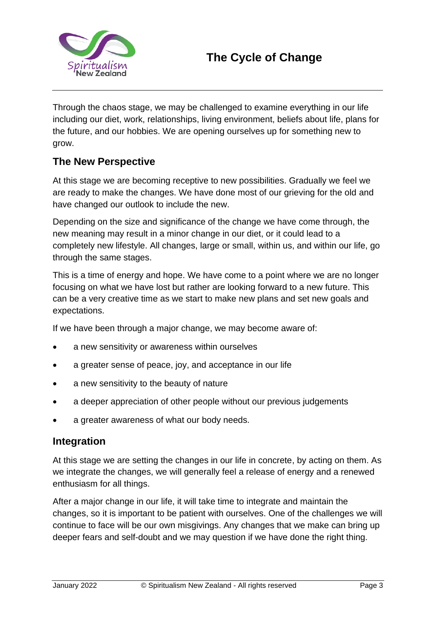

Through the chaos stage, we may be challenged to examine everything in our life including our diet, work, relationships, living environment, beliefs about life, plans for the future, and our hobbies. We are opening ourselves up for something new to grow.

### **The New Perspective**

At this stage we are becoming receptive to new possibilities. Gradually we feel we are ready to make the changes. We have done most of our grieving for the old and have changed our outlook to include the new.

Depending on the size and significance of the change we have come through, the new meaning may result in a minor change in our diet, or it could lead to a completely new lifestyle. All changes, large or small, within us, and within our life, go through the same stages.

This is a time of energy and hope. We have come to a point where we are no longer focusing on what we have lost but rather are looking forward to a new future. This can be a very creative time as we start to make new plans and set new goals and expectations.

If we have been through a major change, we may become aware of:

- a new sensitivity or awareness within ourselves
- a greater sense of peace, joy, and acceptance in our life
- a new sensitivity to the beauty of nature
- a deeper appreciation of other people without our previous judgements
- a greater awareness of what our body needs.

#### **Integration**

At this stage we are setting the changes in our life in concrete, by acting on them. As we integrate the changes, we will generally feel a release of energy and a renewed enthusiasm for all things.

After a major change in our life, it will take time to integrate and maintain the changes, so it is important to be patient with ourselves. One of the challenges we will continue to face will be our own misgivings. Any changes that we make can bring up deeper fears and self-doubt and we may question if we have done the right thing.